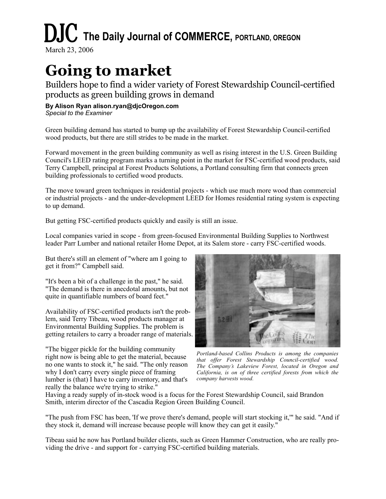## **DJC** The Daily Journal of COMMERCE, PORTLAND, OREGON

March 23, 2006

## **Going to market**

Builders hope to find a wider variety of Forest Stewardship Council-certified products as green building grows in demand

## **By Alison Ryan alison.ryan@djcOregon.com**

*Special to the Examiner*

Green building demand has started to bump up the availability of Forest Stewardship Council-certified wood products, but there are still strides to be made in the market.

Forward movement in the green building community as well as rising interest in the U.S. Green Building Council's LEED rating program marks a turning point in the market for FSC-certified wood products, said Terry Campbell, principal at Forest Products Solutions, a Portland consulting firm that connects green building professionals to certified wood products.

The move toward green techniques in residential projects - which use much more wood than commercial or industrial projects - and the under-development LEED for Homes residential rating system is expecting to up demand.

But getting FSC-certified products quickly and easily is still an issue.

Local companies varied in scope - from green-focused Environmental Building Supplies to Northwest leader Parr Lumber and national retailer Home Depot, at its Salem store - carry FSC-certified woods.

But there's still an element of "where am I going to get it from?" Campbell said.

"It's been a bit of a challenge in the past," he said. "The demand is there in anecdotal amounts, but not quite in quantifiable numbers of board feet."

Availability of FSC-certified products isn't the problem, said Terry Tibeau, wood products manager at Environmental Building Supplies. The problem is getting retailers to carry a broader range of materials.

"The bigger pickle for the building community right now is being able to get the material, because no one wants to stock it," he said. "The only reason why I don't carry every single piece of framing lumber is (that) I have to carry inventory, and that's really the balance we're trying to strike."



*Portland-based Collins Products is among the companies that offer Forest Stewardship Council-certified wood. The Company's Lakeview Forest, located in Oregon and California, is on of three certified forests from which the company harvests wood.*

Having a ready supply of in-stock wood is a focus for the Forest Stewardship Council, said Brandon Smith, interim director of the Cascadia Region Green Building Council.

"The push from FSC has been, 'If we prove there's demand, people will start stocking it,'" he said. "And if they stock it, demand will increase because people will know they can get it easily."

Tibeau said he now has Portland builder clients, such as Green Hammer Construction, who are really providing the drive - and support for - carrying FSC-certified building materials.